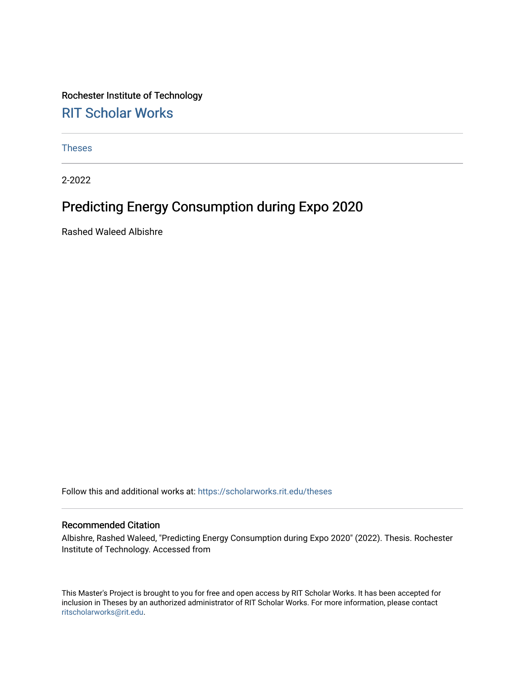Rochester Institute of Technology [RIT Scholar Works](https://scholarworks.rit.edu/)

[Theses](https://scholarworks.rit.edu/theses) 

2-2022

# Predicting Energy Consumption during Expo 2020

Rashed Waleed Albishre

Follow this and additional works at: [https://scholarworks.rit.edu/theses](https://scholarworks.rit.edu/theses?utm_source=scholarworks.rit.edu%2Ftheses%2F11092&utm_medium=PDF&utm_campaign=PDFCoverPages) 

#### Recommended Citation

Albishre, Rashed Waleed, "Predicting Energy Consumption during Expo 2020" (2022). Thesis. Rochester Institute of Technology. Accessed from

This Master's Project is brought to you for free and open access by RIT Scholar Works. It has been accepted for inclusion in Theses by an authorized administrator of RIT Scholar Works. For more information, please contact [ritscholarworks@rit.edu](mailto:ritscholarworks@rit.edu).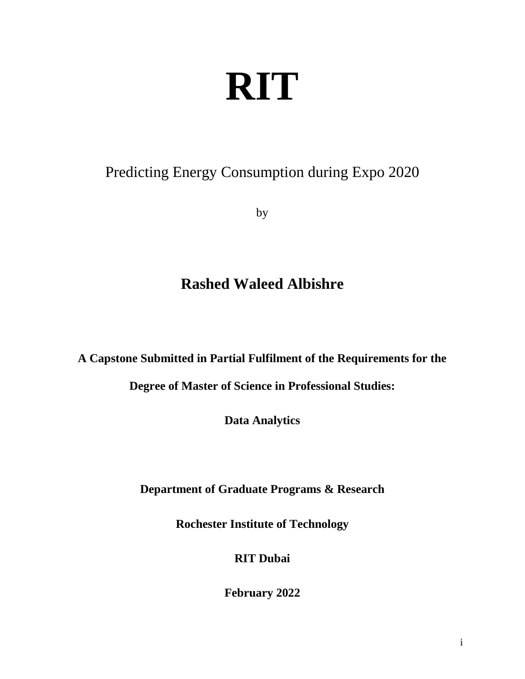# **RIT**

# <span id="page-1-0"></span>Predicting Energy Consumption during Expo 2020

by

# **Rashed Waleed Albishre**

**A Capstone Submitted in Partial Fulfilment of the Requirements for the** 

**Degree of Master of Science in Professional Studies:** 

**Data Analytics**

**Department of Graduate Programs & Research**

**Rochester Institute of Technology**

# **RIT Dubai**

**February 2022**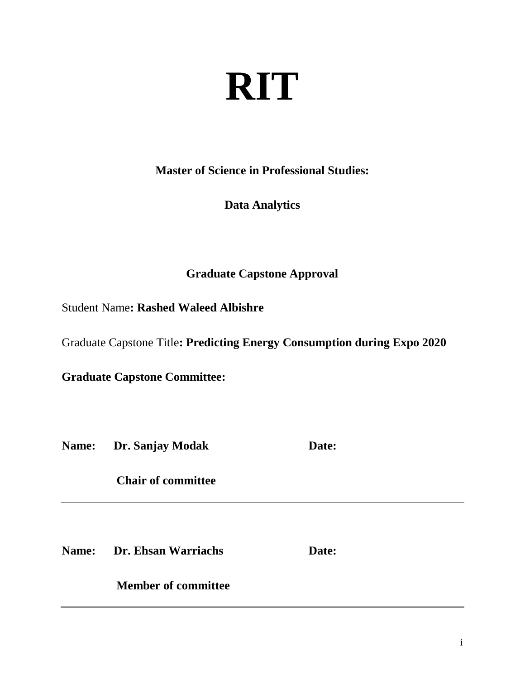# **RIT**

**Master of Science in Professional Studies:**

# **Data Analytics**

# **Graduate Capstone Approval**

Student Name**: Rashed Waleed Albishre**

Graduate Capstone Title**: Predicting Energy Consumption during Expo 2020**

**Graduate Capstone Committee:**

**Name:** Dr. Sanjay Modak **Date:** 

 **Chair of committee** 

**Name: Dr. Ehsan Warriachs Date:**

 **Member of committee**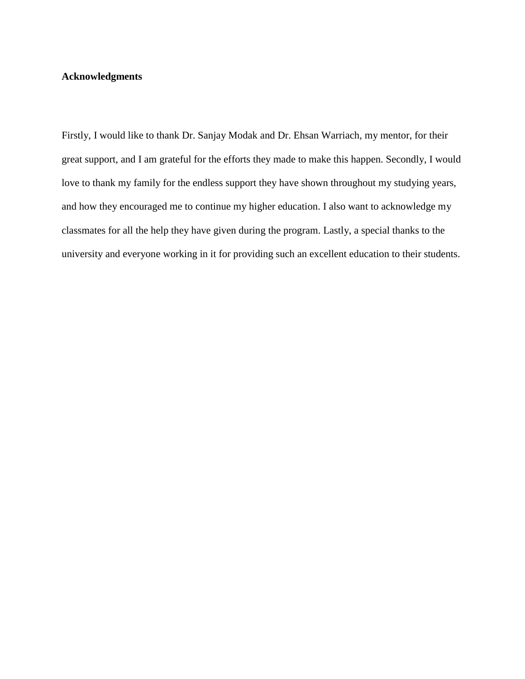## **Acknowledgments**

Firstly, I would like to thank Dr. Sanjay Modak and Dr. Ehsan Warriach, my mentor, for their great support, and I am grateful for the efforts they made to make this happen. Secondly, I would love to thank my family for the endless support they have shown throughout my studying years, and how they encouraged me to continue my higher education. I also want to acknowledge my classmates for all the help they have given during the program. Lastly, a special thanks to the university and everyone working in it for providing such an excellent education to their students.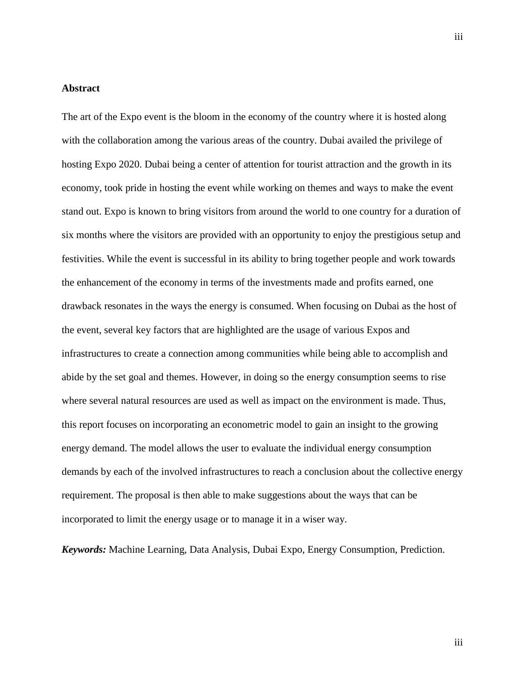#### <span id="page-4-0"></span>**Abstract**

The art of the Expo event is the bloom in the economy of the country where it is hosted along with the collaboration among the various areas of the country. Dubai availed the privilege of hosting Expo 2020. Dubai being a center of attention for tourist attraction and the growth in its economy, took pride in hosting the event while working on themes and ways to make the event stand out. Expo is known to bring visitors from around the world to one country for a duration of six months where the visitors are provided with an opportunity to enjoy the prestigious setup and festivities. While the event is successful in its ability to bring together people and work towards the enhancement of the economy in terms of the investments made and profits earned, one drawback resonates in the ways the energy is consumed. When focusing on Dubai as the host of the event, several key factors that are highlighted are the usage of various Expos and infrastructures to create a connection among communities while being able to accomplish and abide by the set goal and themes. However, in doing so the energy consumption seems to rise where several natural resources are used as well as impact on the environment is made. Thus, this report focuses on incorporating an econometric model to gain an insight to the growing energy demand. The model allows the user to evaluate the individual energy consumption demands by each of the involved infrastructures to reach a conclusion about the collective energy requirement. The proposal is then able to make suggestions about the ways that can be incorporated to limit the energy usage or to manage it in a wiser way.

*Keywords:* Machine Learning, Data Analysis, Dubai Expo, Energy Consumption, Prediction.

iii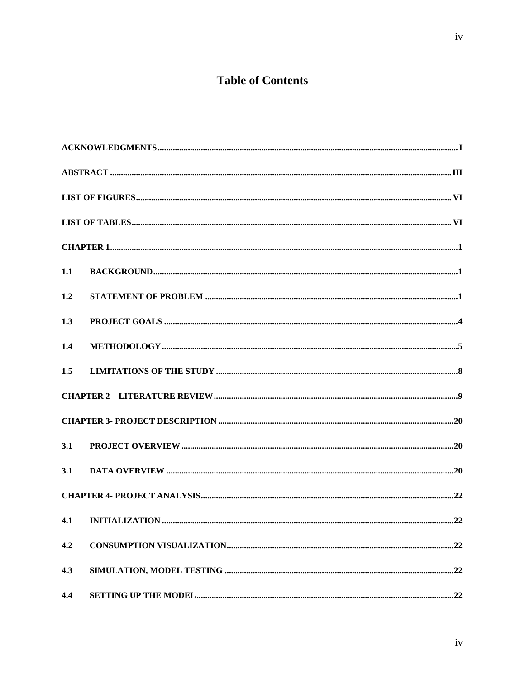# **Table of Contents**

| 1.1 |  |
|-----|--|
| 1.2 |  |
| 1.3 |  |
| 1.4 |  |
| 1.5 |  |
|     |  |
|     |  |
| 3.1 |  |
| 3.1 |  |
|     |  |
| 4.1 |  |
| 4.2 |  |
| 4.3 |  |
| 4.4 |  |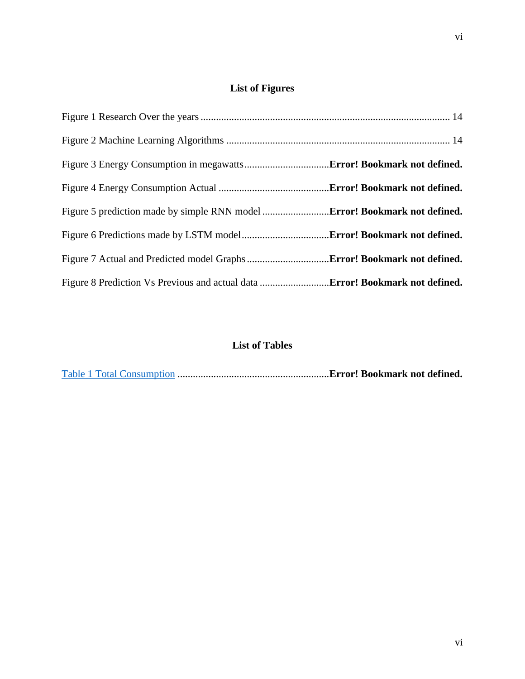# **List of Figures**

<span id="page-7-0"></span>

# **List of Tables**

<span id="page-7-1"></span>Table 1 Total Consumption ...........................................................**Error! Bookmark not defined.**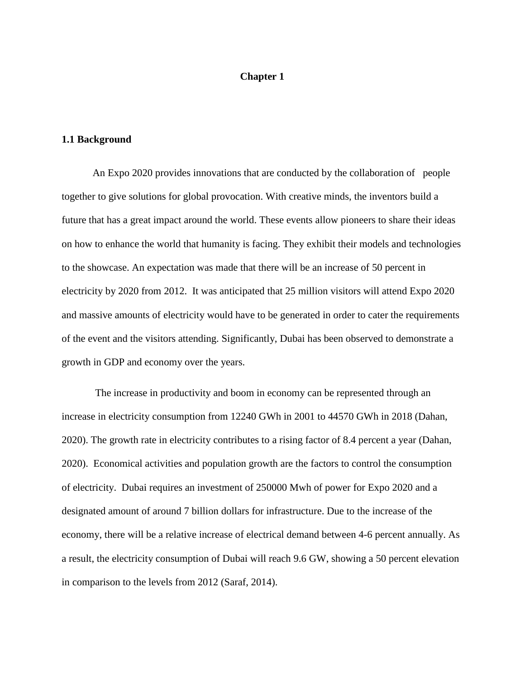## **Chapter 1**

#### <span id="page-8-2"></span><span id="page-8-1"></span><span id="page-8-0"></span>**1.1 Background**

An Expo 2020 provides innovations that are conducted by the collaboration of people together to give solutions for global provocation. With creative minds, the inventors build a future that has a great impact around the world. These events allow pioneers to share their ideas on how to enhance the world that humanity is facing. They exhibit their models and technologies to the showcase. An expectation was made that there will be an increase of 50 percent in electricity by 2020 from 2012. It was anticipated that 25 million visitors will attend Expo 2020 and massive amounts of electricity would have to be generated in order to cater the requirements of the event and the visitors attending. Significantly, Dubai has been observed to demonstrate a growth in GDP and economy over the years.

The increase in productivity and boom in economy can be represented through an increase in electricity consumption from 12240 GWh in 2001 to 44570 GWh in 2018 (Dahan, 2020). The growth rate in electricity contributes to a rising factor of 8.4 percent a year (Dahan, 2020). Economical activities and population growth are the factors to control the consumption of electricity. Dubai requires an investment of 250000 Mwh of power for Expo 2020 and a designated amount of around 7 billion dollars for infrastructure. Due to the increase of the economy, there will be a relative increase of electrical demand between 4-6 percent annually. As a result, the electricity consumption of Dubai will reach 9.6 GW, showing a 50 percent elevation in comparison to the levels from 2012 (Saraf, 2014).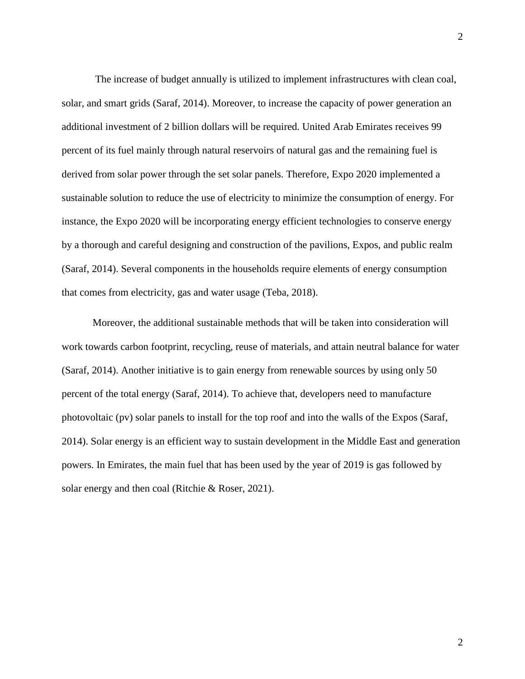The increase of budget annually is utilized to implement infrastructures with clean coal, solar, and smart grids (Saraf, 2014). Moreover, to increase the capacity of power generation an additional investment of 2 billion dollars will be required. United Arab Emirates receives 99 percent of its fuel mainly through natural reservoirs of natural gas and the remaining fuel is derived from solar power through the set solar panels. Therefore, Expo 2020 implemented a sustainable solution to reduce the use of electricity to minimize the consumption of energy. For instance, the Expo 2020 will be incorporating energy efficient technologies to conserve energy by a thorough and careful designing and construction of the pavilions, Expos, and public realm (Saraf, 2014). Several components in the households require elements of energy consumption that comes from electricity, gas and water usage (Teba, 2018).

Moreover, the additional sustainable methods that will be taken into consideration will work towards carbon footprint, recycling, reuse of materials, and attain neutral balance for water (Saraf, 2014). Another initiative is to gain energy from renewable sources by using only 50 percent of the total energy (Saraf, 2014). To achieve that, developers need to manufacture photovoltaic (pv) solar panels to install for the top roof and into the walls of the Expos (Saraf, 2014). Solar energy is an efficient way to sustain development in the Middle East and generation powers. In Emirates, the main fuel that has been used by the year of 2019 is gas followed by solar energy and then coal (Ritchie & Roser, 2021).

2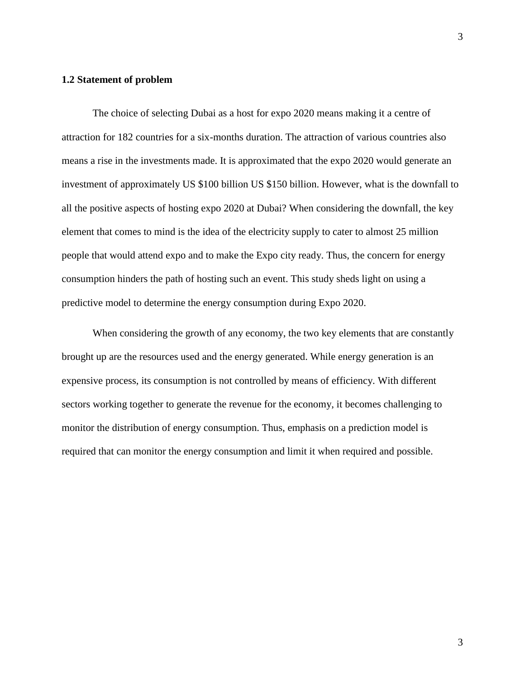### **1.2 Statement of problem**

The choice of selecting Dubai as a host for expo 2020 means making it a centre of attraction for 182 countries for a six-months duration. The attraction of various countries also means a rise in the investments made. It is approximated that the expo 2020 would generate an investment of approximately US \$100 billion US \$150 billion. However, what is the downfall to all the positive aspects of hosting expo 2020 at Dubai? When considering the downfall, the key element that comes to mind is the idea of the electricity supply to cater to almost 25 million people that would attend expo and to make the Expo city ready. Thus, the concern for energy consumption hinders the path of hosting such an event. This study sheds light on using a predictive model to determine the energy consumption during Expo 2020.

When considering the growth of any economy, the two key elements that are constantly brought up are the resources used and the energy generated. While energy generation is an expensive process, its consumption is not controlled by means of efficiency. With different sectors working together to generate the revenue for the economy, it becomes challenging to monitor the distribution of energy consumption. Thus, emphasis on a prediction model is required that can monitor the energy consumption and limit it when required and possible.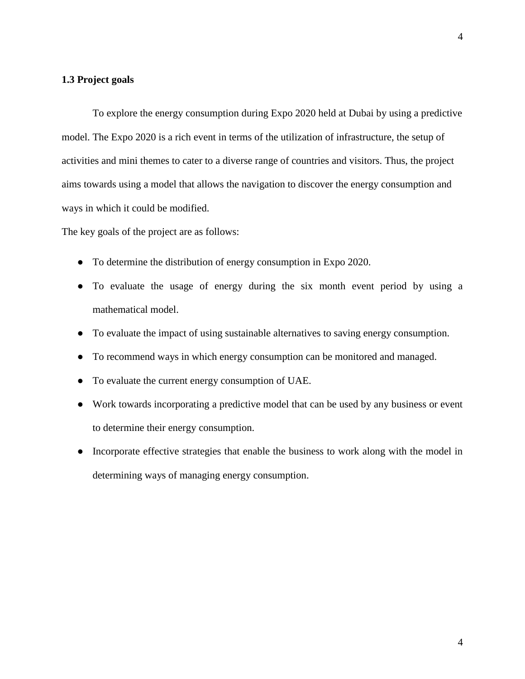## <span id="page-11-0"></span>**1.3 Project goals**

To explore the energy consumption during Expo 2020 held at Dubai by using a predictive model. The Expo 2020 is a rich event in terms of the utilization of infrastructure, the setup of activities and mini themes to cater to a diverse range of countries and visitors. Thus, the project aims towards using a model that allows the navigation to discover the energy consumption and ways in which it could be modified.

The key goals of the project are as follows:

- To determine the distribution of energy consumption in Expo 2020.
- To evaluate the usage of energy during the six month event period by using a mathematical model.
- To evaluate the impact of using sustainable alternatives to saving energy consumption.
- To recommend ways in which energy consumption can be monitored and managed.
- To evaluate the current energy consumption of UAE.
- Work towards incorporating a predictive model that can be used by any business or event to determine their energy consumption.
- Incorporate effective strategies that enable the business to work along with the model in determining ways of managing energy consumption.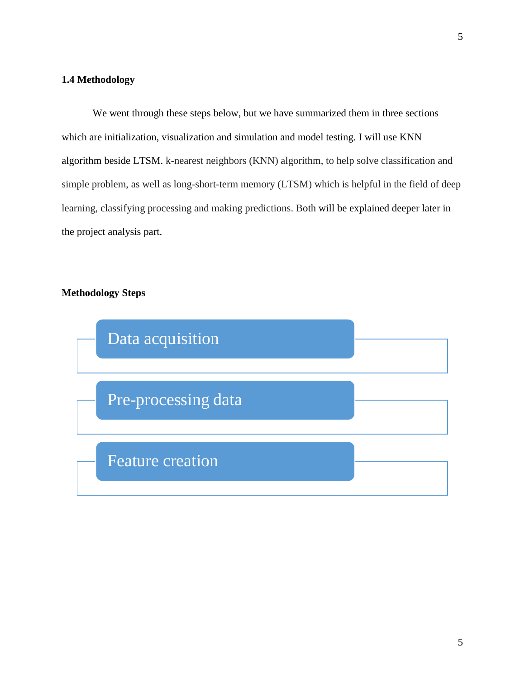## <span id="page-12-0"></span>**1.4 Methodology**

We went through these steps below, but we have summarized them in three sections which are initialization, visualization and simulation and model testing. I will use KNN algorithm beside LTSM. k-nearest neighbors (KNN) algorithm, to help solve classification and simple problem, as well as long-short-term memory (LTSM) which is helpful in the field of deep learning, classifying processing and making predictions. Both will be explained deeper later in the project analysis part.

## **Methodology Steps**

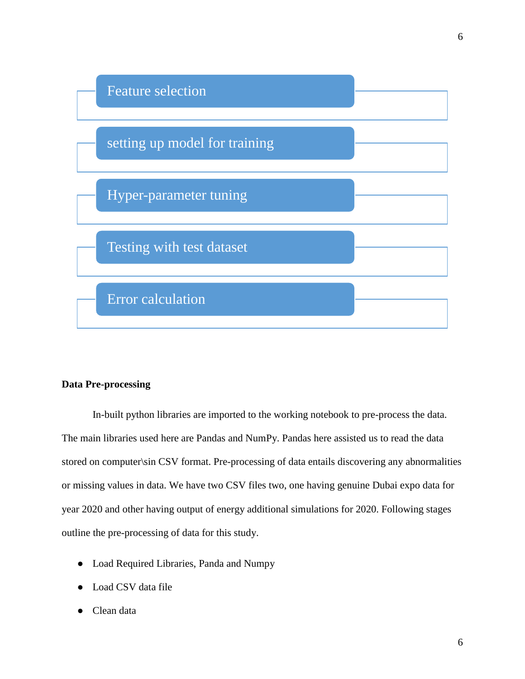

## **Data Pre-processing**

In-built python libraries are imported to the working notebook to pre-process the data. The main libraries used here are Pandas and NumPy. Pandas here assisted us to read the data stored on computer\sin CSV format. Pre-processing of data entails discovering any abnormalities or missing values in data. We have two CSV files two, one having genuine Dubai expo data for year 2020 and other having output of energy additional simulations for 2020. Following stages outline the pre-processing of data for this study.

- Load Required Libraries, Panda and Numpy
- Load CSV data file
- Clean data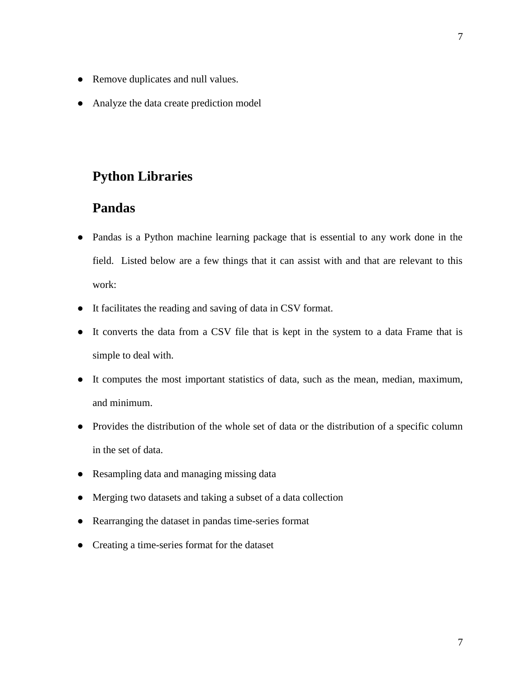- Remove duplicates and null values.
- Analyze the data create prediction model

# **Python Libraries**

# **Pandas**

- Pandas is a Python machine learning package that is essential to any work done in the field. Listed below are a few things that it can assist with and that are relevant to this work:
- It facilitates the reading and saving of data in CSV format.
- It converts the data from a CSV file that is kept in the system to a data Frame that is simple to deal with.
- It computes the most important statistics of data, such as the mean, median, maximum, and minimum.
- Provides the distribution of the whole set of data or the distribution of a specific column in the set of data.
- Resampling data and managing missing data
- Merging two datasets and taking a subset of a data collection
- Rearranging the dataset in pandas time-series format
- Creating a time-series format for the dataset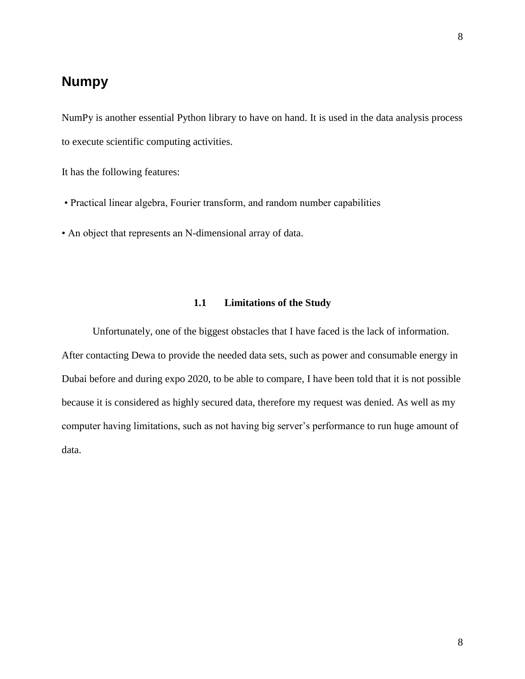# **Numpy**

NumPy is another essential Python library to have on hand. It is used in the data analysis process to execute scientific computing activities.

It has the following features:

- Practical linear algebra, Fourier transform, and random number capabilities
- An object that represents an N-dimensional array of data.

## **1.1 Limitations of the Study**

<span id="page-15-0"></span>Unfortunately, one of the biggest obstacles that I have faced is the lack of information. After contacting Dewa to provide the needed data sets, such as power and consumable energy in Dubai before and during expo 2020, to be able to compare, I have been told that it is not possible because it is considered as highly secured data, therefore my request was denied. As well as my computer having limitations, such as not having big server's performance to run huge amount of data.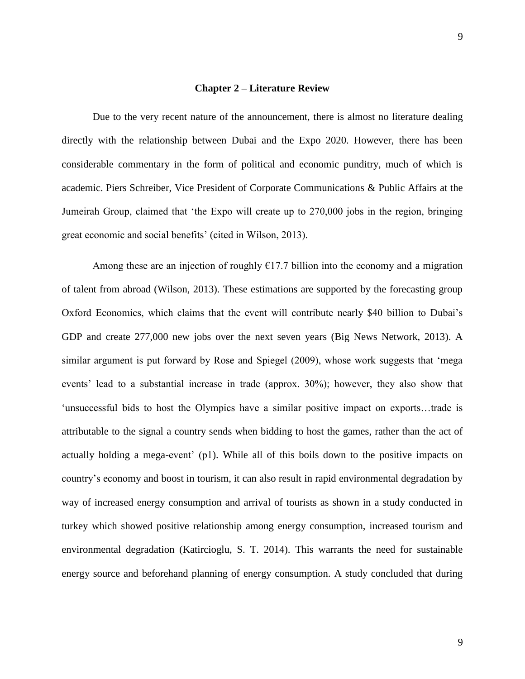#### **Chapter 2 – Literature Review**

<span id="page-16-0"></span>Due to the very recent nature of the announcement, there is almost no literature dealing directly with the relationship between Dubai and the Expo 2020. However, there has been considerable commentary in the form of political and economic punditry, much of which is academic. Piers Schreiber, Vice President of Corporate Communications & Public Affairs at the Jumeirah Group, claimed that 'the Expo will create up to 270,000 jobs in the region, bringing great economic and social benefits' (cited in Wilson, 2013).

Among these are an injection of roughly  $E17.7$  billion into the economy and a migration of talent from abroad (Wilson, 2013). These estimations are supported by the forecasting group Oxford Economics, which claims that the event will contribute nearly \$40 billion to Dubai's GDP and create 277,000 new jobs over the next seven years (Big News Network, 2013). A similar argument is put forward by Rose and Spiegel (2009), whose work suggests that 'mega events' lead to a substantial increase in trade (approx. 30%); however, they also show that 'unsuccessful bids to host the Olympics have a similar positive impact on exports…trade is attributable to the signal a country sends when bidding to host the games, rather than the act of actually holding a mega-event' (p1). While all of this boils down to the positive impacts on country's economy and boost in tourism, it can also result in rapid environmental degradation by way of increased energy consumption and arrival of tourists as shown in a study conducted in turkey which showed positive relationship among energy consumption, increased tourism and environmental degradation (Katircioglu, S. T. 2014). This warrants the need for sustainable energy source and beforehand planning of energy consumption. A study concluded that during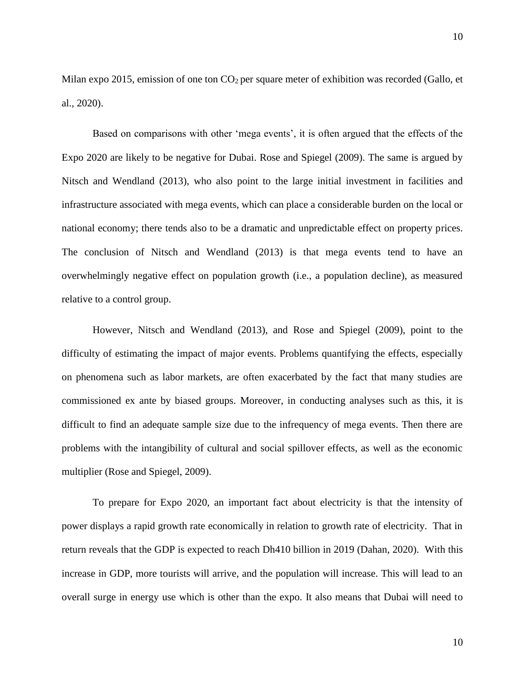Milan expo 2015, emission of one ton  $CO<sub>2</sub>$  per square meter of exhibition was recorded (Gallo, et al., 2020).

Based on comparisons with other 'mega events', it is often argued that the effects of the Expo 2020 are likely to be negative for Dubai. Rose and Spiegel (2009). The same is argued by Nitsch and Wendland (2013), who also point to the large initial investment in facilities and infrastructure associated with mega events, which can place a considerable burden on the local or national economy; there tends also to be a dramatic and unpredictable effect on property prices. The conclusion of Nitsch and Wendland (2013) is that mega events tend to have an overwhelmingly negative effect on population growth (i.e., a population decline), as measured relative to a control group.

However, Nitsch and Wendland (2013), and Rose and Spiegel (2009), point to the difficulty of estimating the impact of major events. Problems quantifying the effects, especially on phenomena such as labor markets, are often exacerbated by the fact that many studies are commissioned ex ante by biased groups. Moreover, in conducting analyses such as this, it is difficult to find an adequate sample size due to the infrequency of mega events. Then there are problems with the intangibility of cultural and social spillover effects, as well as the economic multiplier (Rose and Spiegel, 2009).

To prepare for Expo 2020, an important fact about electricity is that the intensity of power displays a rapid growth rate economically in relation to growth rate of electricity. That in return reveals that the GDP is expected to reach Dh410 billion in 2019 (Dahan, 2020). With this increase in GDP, more tourists will arrive, and the population will increase. This will lead to an overall surge in energy use which is other than the expo. It also means that Dubai will need to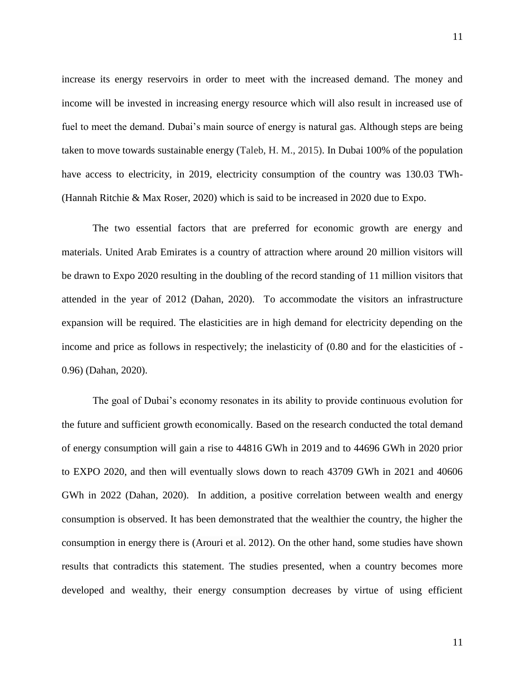increase its energy reservoirs in order to meet with the increased demand. The money and income will be invested in increasing energy resource which will also result in increased use of fuel to meet the demand. Dubai's main source of energy is natural gas. Although steps are being taken to move towards sustainable energy (Taleb, H. M., 2015). In Dubai 100% of the population have access to electricity, in 2019, electricity consumption of the country was 130.03 TWh- (Hannah Ritchie & Max Roser, 2020) which is said to be increased in 2020 due to Expo.

The two essential factors that are preferred for economic growth are energy and materials. United Arab Emirates is a country of attraction where around 20 million visitors will be drawn to Expo 2020 resulting in the doubling of the record standing of 11 million visitors that attended in the year of 2012 (Dahan, 2020). To accommodate the visitors an infrastructure expansion will be required. The elasticities are in high demand for electricity depending on the income and price as follows in respectively; the inelasticity of (0.80 and for the elasticities of - 0.96) (Dahan, 2020).

The goal of Dubai's economy resonates in its ability to provide continuous evolution for the future and sufficient growth economically. Based on the research conducted the total demand of energy consumption will gain a rise to 44816 GWh in 2019 and to 44696 GWh in 2020 prior to EXPO 2020, and then will eventually slows down to reach 43709 GWh in 2021 and 40606 GWh in 2022 (Dahan, 2020). In addition, a positive correlation between wealth and energy consumption is observed. It has been demonstrated that the wealthier the country, the higher the consumption in energy there is (Arouri et al. [2012\)](https://link.springer.com/article/10.1007/s11356-020-11239-4#ref-CR11). On the other hand, some studies have shown results that contradicts this statement. The studies presented, when a country becomes more developed and wealthy, their energy consumption decreases by virtue of using efficient

11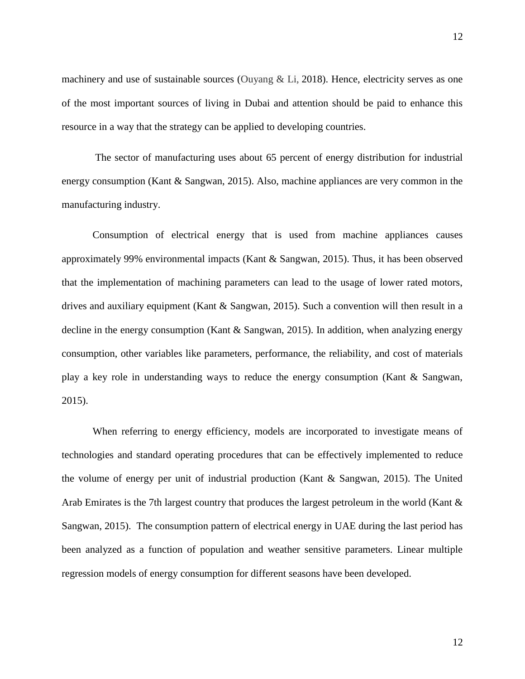machinery and use of sustainable sources (Ouyang & Li, [2018\)](https://link.springer.com/article/10.1007/s11356-020-11239-4#ref-CR61). Hence, electricity serves as one of the most important sources of living in Dubai and attention should be paid to enhance this resource in a way that the strategy can be applied to developing countries.

 The sector of manufacturing uses about 65 percent of energy distribution for industrial energy consumption (Kant & Sangwan, 2015). Also, machine appliances are very common in the manufacturing industry.

Consumption of electrical energy that is used from machine appliances causes approximately 99% environmental impacts (Kant & Sangwan, 2015). Thus, it has been observed that the implementation of machining parameters can lead to the usage of lower rated motors, drives and auxiliary equipment (Kant & Sangwan, 2015). Such a convention will then result in a decline in the energy consumption (Kant & Sangwan, 2015). In addition, when analyzing energy consumption, other variables like parameters, performance, the reliability, and cost of materials play a key role in understanding ways to reduce the energy consumption (Kant & Sangwan, 2015).

When referring to energy efficiency, models are incorporated to investigate means of technologies and standard operating procedures that can be effectively implemented to reduce the volume of energy per unit of industrial production (Kant & Sangwan, 2015). The United Arab Emirates is the 7th largest country that produces the largest petroleum in the world (Kant & Sangwan, 2015). The consumption pattern of electrical energy in UAE during the last period has been analyzed as a function of population and weather sensitive parameters. Linear multiple regression models of energy consumption for different seasons have been developed.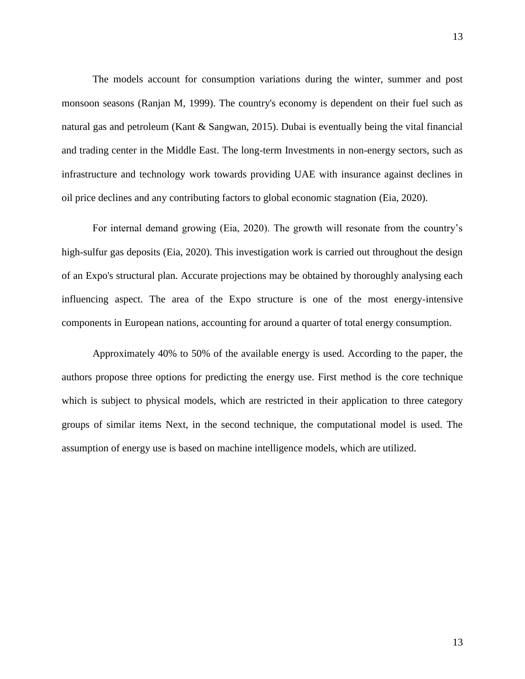The models account for consumption variations during the winter, summer and post monsoon seasons (Ranjan M, 1999). The country's economy is dependent on their fuel such as natural gas and petroleum (Kant & Sangwan, 2015). Dubai is eventually being the vital financial and trading center in the Middle East. The long-term Investments in non-energy sectors, such as infrastructure and technology work towards providing UAE with insurance against declines in oil price declines and any contributing factors to global economic stagnation (Eia, 2020).

For internal demand growing (Eia, 2020). The growth will resonate from the country's high-sulfur gas deposits (Eia, 2020). This investigation work is carried out throughout the design of an Expo's structural plan. Accurate projections may be obtained by thoroughly analysing each influencing aspect. The area of the Expo structure is one of the most energy-intensive components in European nations, accounting for around a quarter of total energy consumption.

Approximately 40% to 50% of the available energy is used. According to the paper, the authors propose three options for predicting the energy use. First method is the core technique which is subject to physical models, which are restricted in their application to three category groups of similar items Next, in the second technique, the computational model is used. The assumption of energy use is based on machine intelligence models, which are utilized.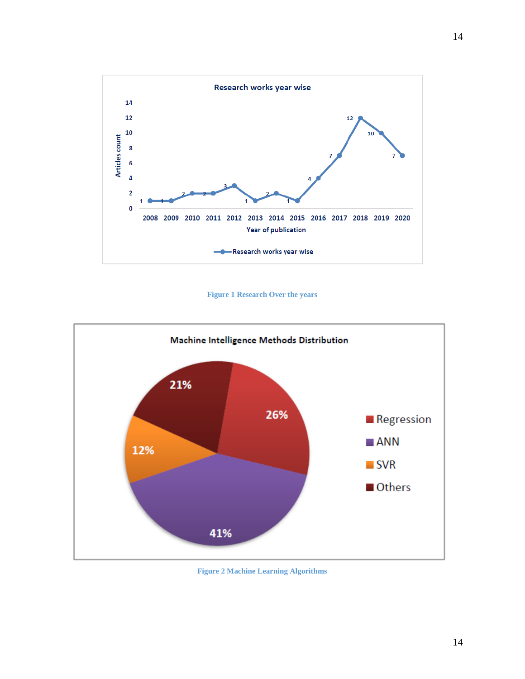

**Figure 1 Research Over the years**



**Figure 2 Machine Learning Algorithms**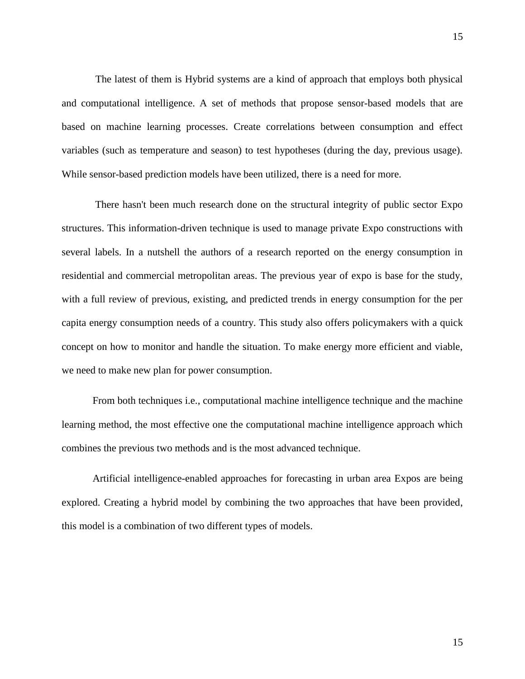The latest of them is Hybrid systems are a kind of approach that employs both physical and computational intelligence. A set of methods that propose sensor-based models that are based on machine learning processes. Create correlations between consumption and effect variables (such as temperature and season) to test hypotheses (during the day, previous usage). While sensor-based prediction models have been utilized, there is a need for more.

There hasn't been much research done on the structural integrity of public sector Expo structures. This information-driven technique is used to manage private Expo constructions with several labels. In a nutshell the authors of a research reported on the energy consumption in residential and commercial metropolitan areas. The previous year of expo is base for the study, with a full review of previous, existing, and predicted trends in energy consumption for the per capita energy consumption needs of a country. This study also offers policymakers with a quick concept on how to monitor and handle the situation. To make energy more efficient and viable, we need to make new plan for power consumption.

From both techniques i.e., computational machine intelligence technique and the machine learning method, the most effective one the computational machine intelligence approach which combines the previous two methods and is the most advanced technique.

Artificial intelligence-enabled approaches for forecasting in urban area Expos are being explored. Creating a hybrid model by combining the two approaches that have been provided, this model is a combination of two different types of models.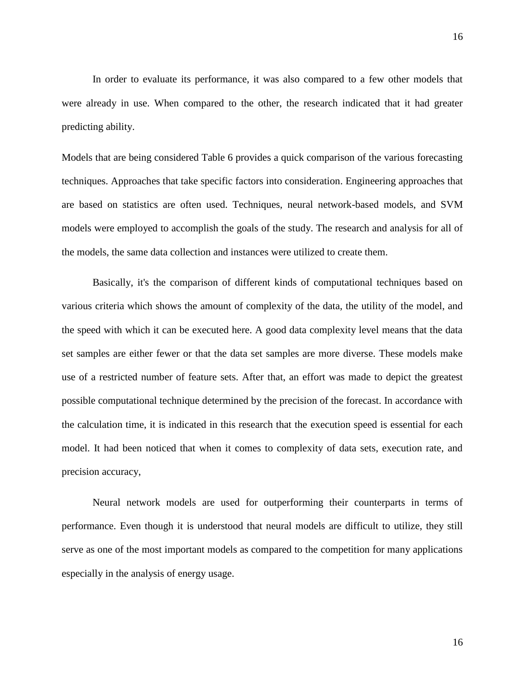In order to evaluate its performance, it was also compared to a few other models that were already in use. When compared to the other, the research indicated that it had greater predicting ability.

Models that are being considered Table 6 provides a quick comparison of the various forecasting techniques. Approaches that take specific factors into consideration. Engineering approaches that are based on statistics are often used. Techniques, neural network-based models, and SVM models were employed to accomplish the goals of the study. The research and analysis for all of the models, the same data collection and instances were utilized to create them.

Basically, it's the comparison of different kinds of computational techniques based on various criteria which shows the amount of complexity of the data, the utility of the model, and the speed with which it can be executed here. A good data complexity level means that the data set samples are either fewer or that the data set samples are more diverse. These models make use of a restricted number of feature sets. After that, an effort was made to depict the greatest possible computational technique determined by the precision of the forecast. In accordance with the calculation time, it is indicated in this research that the execution speed is essential for each model. It had been noticed that when it comes to complexity of data sets, execution rate, and precision accuracy,

Neural network models are used for outperforming their counterparts in terms of performance. Even though it is understood that neural models are difficult to utilize, they still serve as one of the most important models as compared to the competition for many applications especially in the analysis of energy usage.

16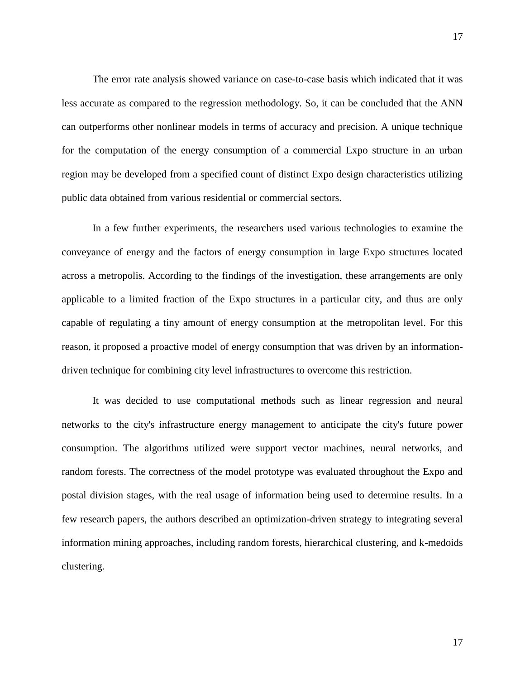The error rate analysis showed variance on case-to-case basis which indicated that it was less accurate as compared to the regression methodology. So, it can be concluded that the ANN can outperforms other nonlinear models in terms of accuracy and precision. A unique technique for the computation of the energy consumption of a commercial Expo structure in an urban region may be developed from a specified count of distinct Expo design characteristics utilizing public data obtained from various residential or commercial sectors.

In a few further experiments, the researchers used various technologies to examine the conveyance of energy and the factors of energy consumption in large Expo structures located across a metropolis. According to the findings of the investigation, these arrangements are only applicable to a limited fraction of the Expo structures in a particular city, and thus are only capable of regulating a tiny amount of energy consumption at the metropolitan level. For this reason, it proposed a proactive model of energy consumption that was driven by an informationdriven technique for combining city level infrastructures to overcome this restriction.

It was decided to use computational methods such as linear regression and neural networks to the city's infrastructure energy management to anticipate the city's future power consumption. The algorithms utilized were support vector machines, neural networks, and random forests. The correctness of the model prototype was evaluated throughout the Expo and postal division stages, with the real usage of information being used to determine results. In a few research papers, the authors described an optimization-driven strategy to integrating several information mining approaches, including random forests, hierarchical clustering, and k-medoids clustering.

17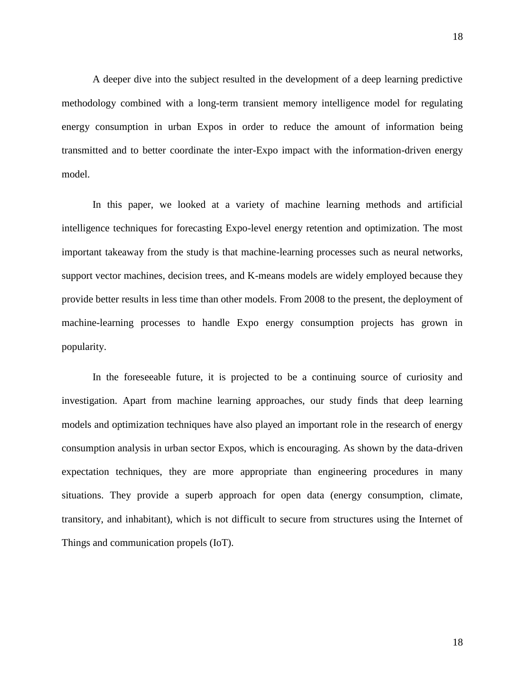A deeper dive into the subject resulted in the development of a deep learning predictive methodology combined with a long-term transient memory intelligence model for regulating energy consumption in urban Expos in order to reduce the amount of information being transmitted and to better coordinate the inter-Expo impact with the information-driven energy model.

In this paper, we looked at a variety of machine learning methods and artificial intelligence techniques for forecasting Expo-level energy retention and optimization. The most important takeaway from the study is that machine-learning processes such as neural networks, support vector machines, decision trees, and K-means models are widely employed because they provide better results in less time than other models. From 2008 to the present, the deployment of machine-learning processes to handle Expo energy consumption projects has grown in popularity.

In the foreseeable future, it is projected to be a continuing source of curiosity and investigation. Apart from machine learning approaches, our study finds that deep learning models and optimization techniques have also played an important role in the research of energy consumption analysis in urban sector Expos, which is encouraging. As shown by the data-driven expectation techniques, they are more appropriate than engineering procedures in many situations. They provide a superb approach for open data (energy consumption, climate, transitory, and inhabitant), which is not difficult to secure from structures using the Internet of Things and communication propels (IoT).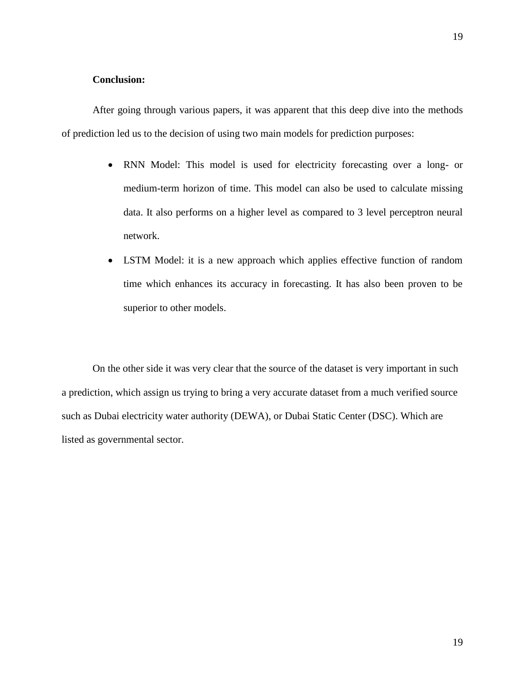#### **Conclusion:**

After going through various papers, it was apparent that this deep dive into the methods of prediction led us to the decision of using two main models for prediction purposes:

- RNN Model: This model is used for electricity forecasting over a long- or medium-term horizon of time. This model can also be used to calculate missing data. It also performs on a higher level as compared to 3 level perceptron neural network.
- LSTM Model: it is a new approach which applies effective function of random time which enhances its accuracy in forecasting. It has also been proven to be superior to other models.

On the other side it was very clear that the source of the dataset is very important in such a prediction, which assign us trying to bring a very accurate dataset from a much verified source such as Dubai electricity water authority (DEWA), or Dubai Static Center (DSC). Which are listed as governmental sector.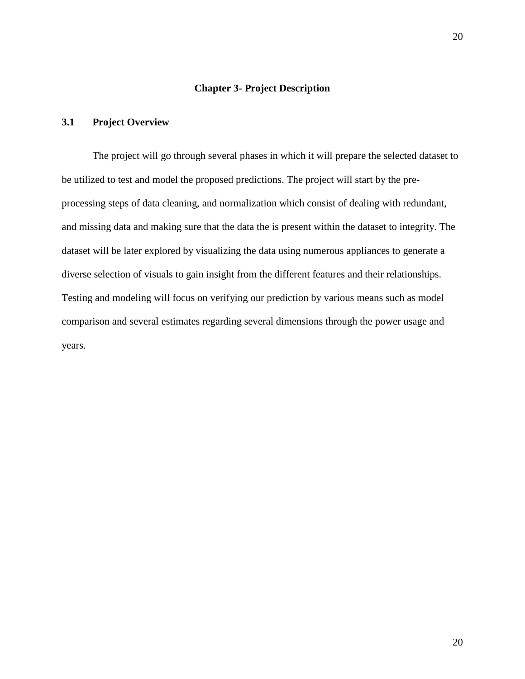#### **Chapter 3- Project Description**

## <span id="page-27-1"></span><span id="page-27-0"></span>**3.1 Project Overview**

The project will go through several phases in which it will prepare the selected dataset to be utilized to test and model the proposed predictions. The project will start by the preprocessing steps of data cleaning, and normalization which consist of dealing with redundant, and missing data and making sure that the data the is present within the dataset to integrity. The dataset will be later explored by visualizing the data using numerous appliances to generate a diverse selection of visuals to gain insight from the different features and their relationships. Testing and modeling will focus on verifying our prediction by various means such as model comparison and several estimates regarding several dimensions through the power usage and years.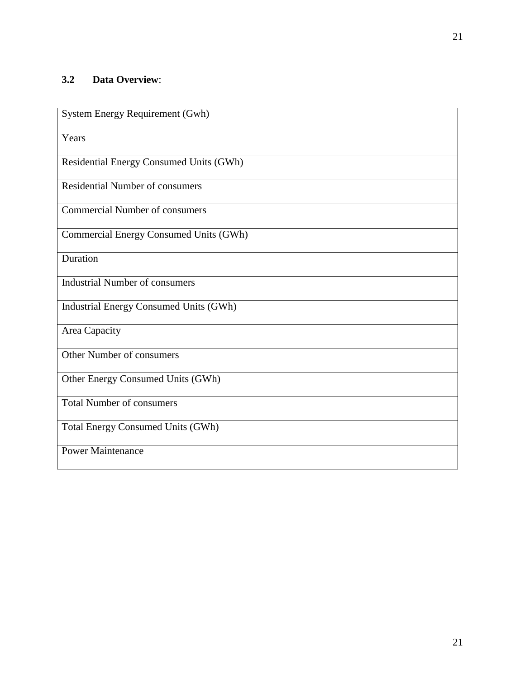| System Energy Requirement (Gwh)               |
|-----------------------------------------------|
| Years                                         |
| Residential Energy Consumed Units (GWh)       |
| Residential Number of consumers               |
| <b>Commercial Number of consumers</b>         |
| Commercial Energy Consumed Units (GWh)        |
| Duration                                      |
| <b>Industrial Number of consumers</b>         |
| <b>Industrial Energy Consumed Units (GWh)</b> |
| Area Capacity                                 |
| Other Number of consumers                     |
| Other Energy Consumed Units (GWh)             |
| <b>Total Number of consumers</b>              |
| <b>Total Energy Consumed Units (GWh)</b>      |
| <b>Power Maintenance</b>                      |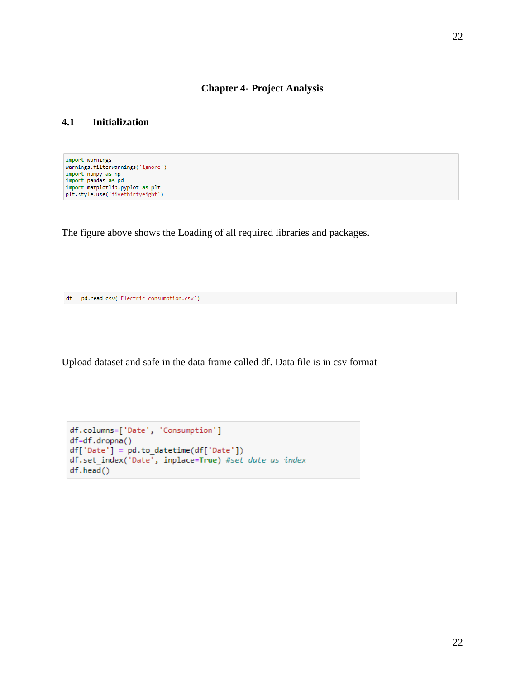#### **Chapter 4- Project Analysis**

## <span id="page-29-1"></span><span id="page-29-0"></span>**4.1 Initialization**

import warnings warnings.filterwarnings('ignore') warnings; interwarnings; ignore<br>import nampy as np<br>import pandas as pd<br>import matplotlib.pyplot as plt<br>plt.style.use('fivethirtyeight')

The figure above shows the Loading of all required libraries and packages.

```
df = pd.read_csv('Electric_consumption.csv')
```
Upload dataset and safe in the data frame called df. Data file is in csv format

```
df.columns=['Date', 'Consumption']
  df=df.dropna()
  df['Date'] = pd.to_datetime(df['Date'])
  df.set_index('Date', inplace=True) #set date as index
  df.head()
```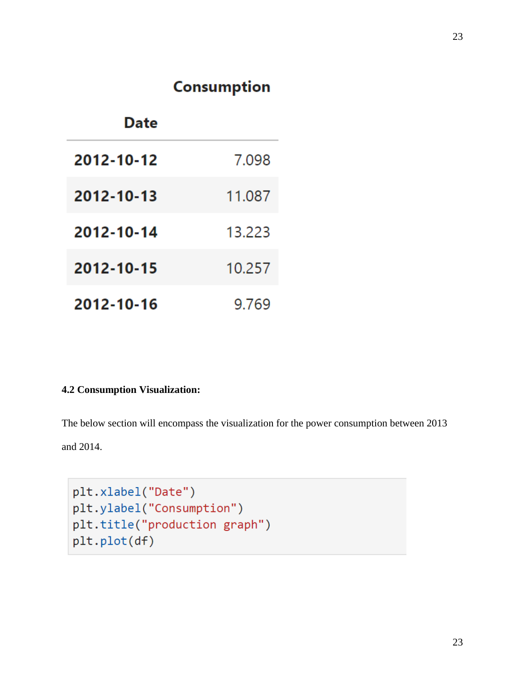# **Consumption**

| Date       |        |
|------------|--------|
| 2012-10-12 | 7.098  |
| 2012-10-13 | 11.087 |
| 2012-10-14 | 13.223 |
| 2012-10-15 | 10.257 |
| 2012-10-16 | 9.769  |

# **4.2 Consumption Visualization:**

The below section will encompass the visualization for the power consumption between 2013 and 2014.

```
plt.xlabel("Date")
plt.ylabel("Consumption")
plt.title("production graph")
plt.plot(df)
```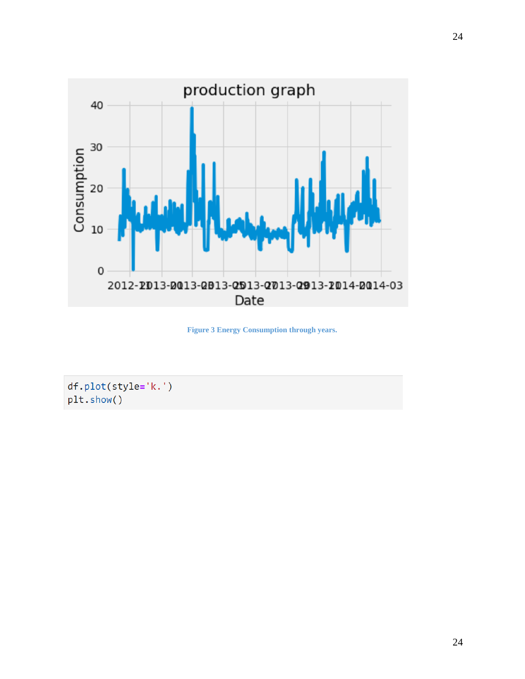

**Figure 3 Energy Consumption through years.**

df.plot(style='k.') plt.show()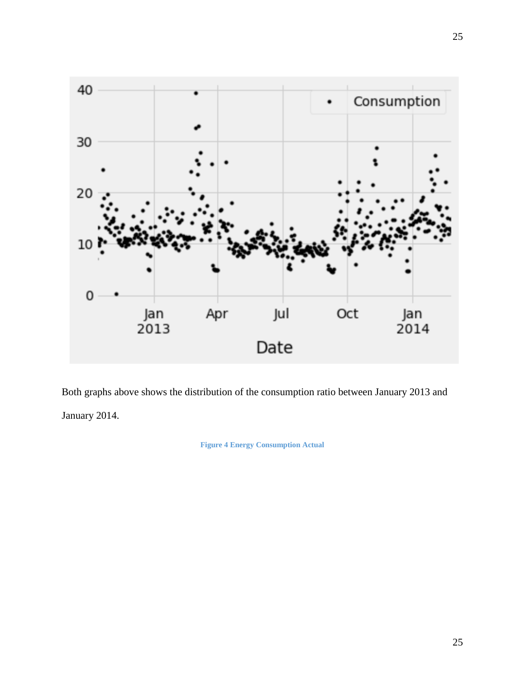

Both graphs above shows the distribution of the consumption ratio between January 2013 and January 2014.

**Figure 4 Energy Consumption Actual**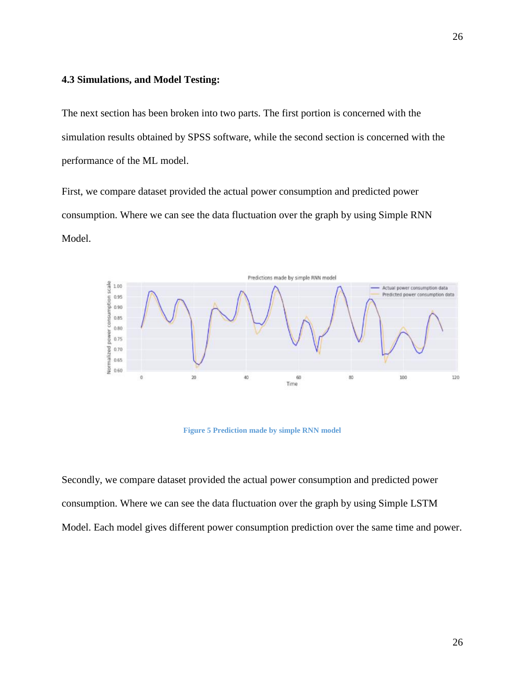#### **4.3 Simulations, and Model Testing:**

The next section has been broken into two parts. The first portion is concerned with the simulation results obtained by SPSS software, while the second section is concerned with the performance of the ML model.

First, we compare dataset provided the actual power consumption and predicted power consumption. Where we can see the data fluctuation over the graph by using Simple RNN Model.



**Figure 5 Prediction made by simple RNN model**

Secondly, we compare dataset provided the actual power consumption and predicted power consumption. Where we can see the data fluctuation over the graph by using Simple LSTM Model. Each model gives different power consumption prediction over the same time and power.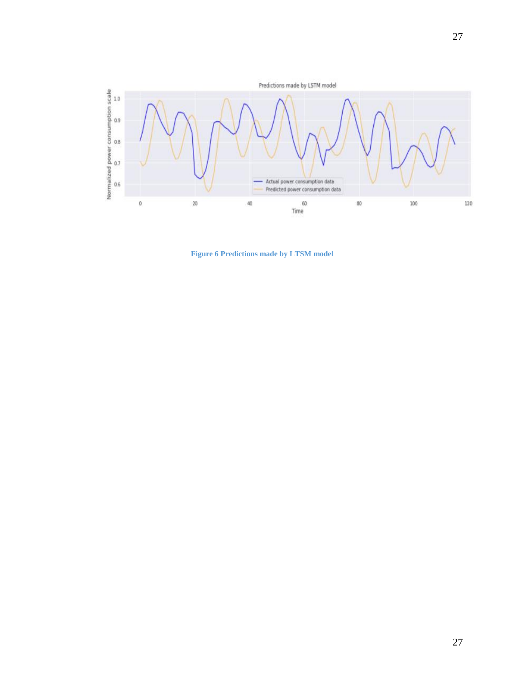

**Figure 6 Predictions made by LTSM model**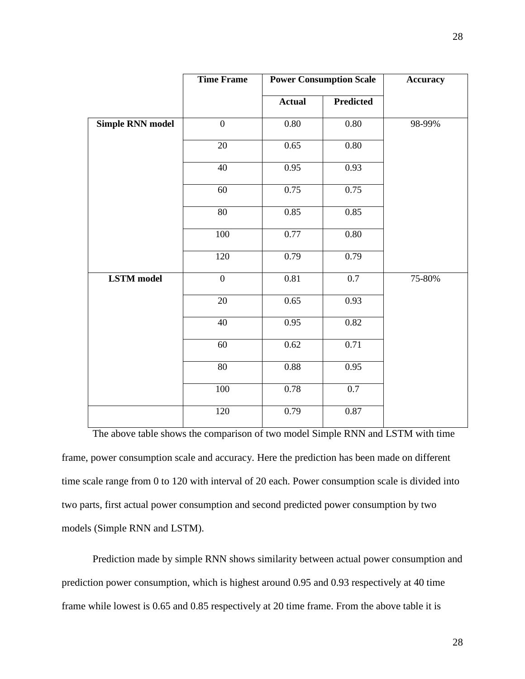|                         | <b>Time Frame</b> | <b>Power Consumption Scale</b> |           | <b>Accuracy</b> |
|-------------------------|-------------------|--------------------------------|-----------|-----------------|
|                         |                   | <b>Actual</b>                  | Predicted |                 |
| <b>Simple RNN model</b> | $\overline{0}$    | 0.80                           | 0.80      | 98-99%          |
|                         | 20                | 0.65                           | 0.80      |                 |
|                         | $\overline{40}$   | 0.95                           | 0.93      |                 |
|                         | 60                | 0.75                           | 0.75      |                 |
|                         | 80                | 0.85                           | 0.85      |                 |
|                         | 100               | 0.77                           | 0.80      |                 |
|                         | 120               | 0.79                           | 0.79      |                 |
| <b>LSTM</b> model       | $\boldsymbol{0}$  | 0.81                           | 0.7       | 75-80%          |
|                         | 20                | 0.65                           | 0.93      |                 |
|                         | 40                | 0.95                           | 0.82      |                 |
|                         | 60                | 0.62                           | 0.71      |                 |
|                         | $\overline{80}$   | 0.88                           | 0.95      |                 |
|                         | 100               | 0.78                           | 0.7       |                 |
|                         | 120               | 0.79                           | 0.87      |                 |

The above table shows the comparison of two model Simple RNN and LSTM with time frame, power consumption scale and accuracy. Here the prediction has been made on different time scale range from 0 to 120 with interval of 20 each. Power consumption scale is divided into two parts, first actual power consumption and second predicted power consumption by two models (Simple RNN and LSTM).

Prediction made by simple RNN shows similarity between actual power consumption and prediction power consumption, which is highest around 0.95 and 0.93 respectively at 40 time frame while lowest is 0.65 and 0.85 respectively at 20 time frame. From the above table it is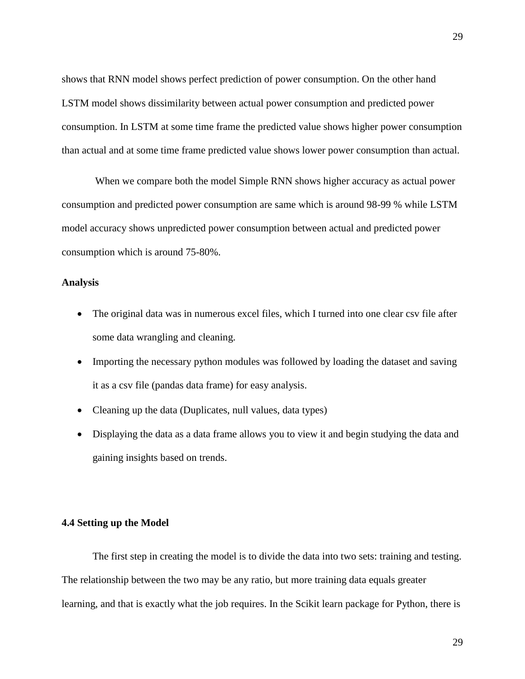shows that RNN model shows perfect prediction of power consumption. On the other hand LSTM model shows dissimilarity between actual power consumption and predicted power consumption. In LSTM at some time frame the predicted value shows higher power consumption than actual and at some time frame predicted value shows lower power consumption than actual.

When we compare both the model Simple RNN shows higher accuracy as actual power consumption and predicted power consumption are same which is around 98-99 % while LSTM model accuracy shows unpredicted power consumption between actual and predicted power consumption which is around 75-80%.

## **Analysis**

- The original data was in numerous excel files, which I turned into one clear csv file after some data wrangling and cleaning.
- Importing the necessary python modules was followed by loading the dataset and saving it as a csv file (pandas data frame) for easy analysis.
- Cleaning up the data (Duplicates, null values, data types)
- Displaying the data as a data frame allows you to view it and begin studying the data and gaining insights based on trends.

#### **4.4 Setting up the Model**

The first step in creating the model is to divide the data into two sets: training and testing. The relationship between the two may be any ratio, but more training data equals greater learning, and that is exactly what the job requires. In the Scikit learn package for Python, there is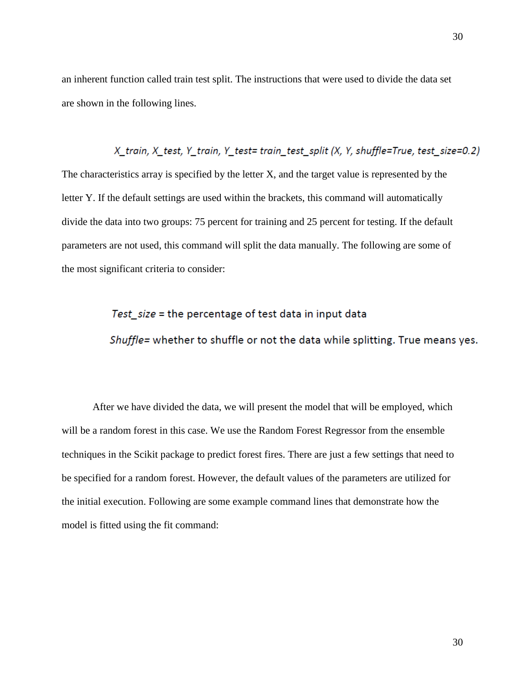an inherent function called train test split. The instructions that were used to divide the data set are shown in the following lines.

X\_train, X\_test, Y\_train, Y\_test= train\_test\_split (X, Y, shuffle=True, test\_size=0.2) The characteristics array is specified by the letter X, and the target value is represented by the letter Y. If the default settings are used within the brackets, this command will automatically divide the data into two groups: 75 percent for training and 25 percent for testing. If the default parameters are not used, this command will split the data manually. The following are some of the most significant criteria to consider:

# Test size = the percentage of test data in input data Shuffle= whether to shuffle or not the data while splitting. True means yes.

After we have divided the data, we will present the model that will be employed, which will be a random forest in this case. We use the Random Forest Regressor from the ensemble techniques in the Scikit package to predict forest fires. There are just a few settings that need to be specified for a random forest. However, the default values of the parameters are utilized for the initial execution. Following are some example command lines that demonstrate how the model is fitted using the fit command: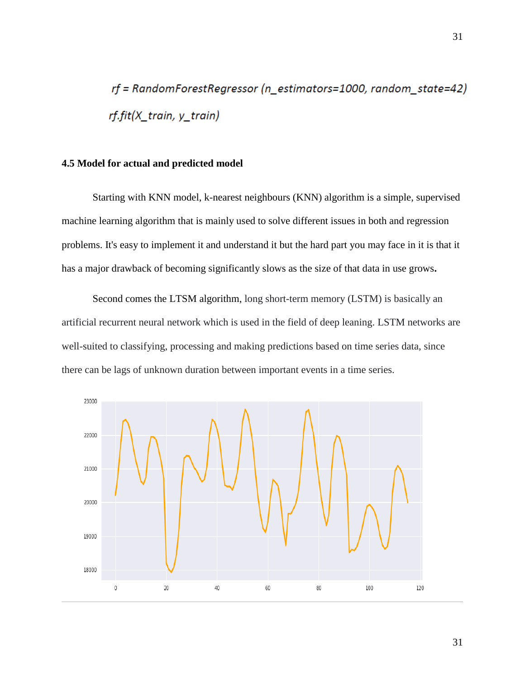rf = RandomForestRegressor (n\_estimators=1000, random\_state=42) rf.fit(X\_train, y\_train)

#### **4.5 Model for actual and predicted model**

Starting with KNN model, k-nearest neighbours (KNN) algorithm is a simple, supervised machine learning algorithm that is mainly used to solve different issues in both and regression problems. It's easy to implement it and understand it but the hard part you may face in it is that it has a major drawback of becoming significantly slows as the size of that data in use grows**.**

Second comes the LTSM algorithm, long short-term memory (LSTM) is basically an artificial recurrent neural network which is used in the field of deep leaning. LSTM networks are well-suited to classifying, processing and making predictions based on time series data, since there can be lags of unknown duration between important events in a time series.

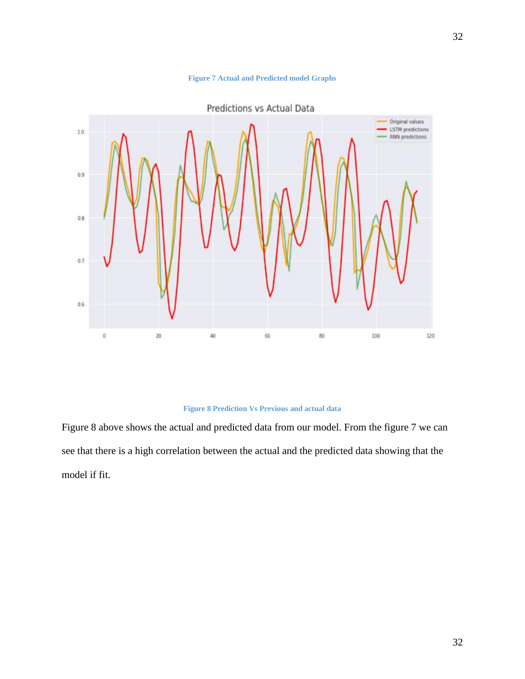



#### **Figure 8 Prediction Vs Previous and actual data**

Figure 8 above shows the actual and predicted data from our model. From the figure 7 we can see that there is a high correlation between the actual and the predicted data showing that the model if fit.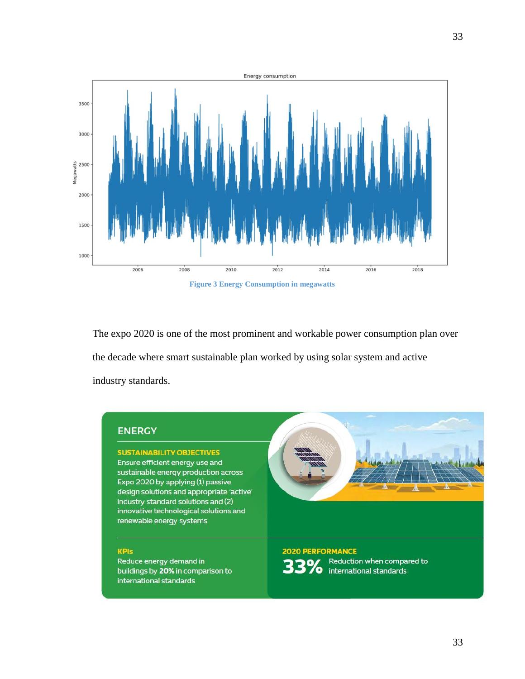

**Figure 3 Energy Consumption in megawatts**

The expo 2020 is one of the most prominent and workable power consumption plan over the decade where smart sustainable plan worked by using solar system and active industry standards.

## **ENERGY**

**SUSTAINABILITY OBJECTIVES** Ensure efficient energy use and sustainable energy production across Expo 2020 by applying (1) passive design solutions and appropriate 'active' industry standard solutions and (2) innovative technological solutions and renewable energy systems

#### **KPIs**

Reduce energy demand in buildings by 20% in comparison to international standards

**2020 PERFORMANCE** Reduction when compared to international standards

 $\mathbf{A}$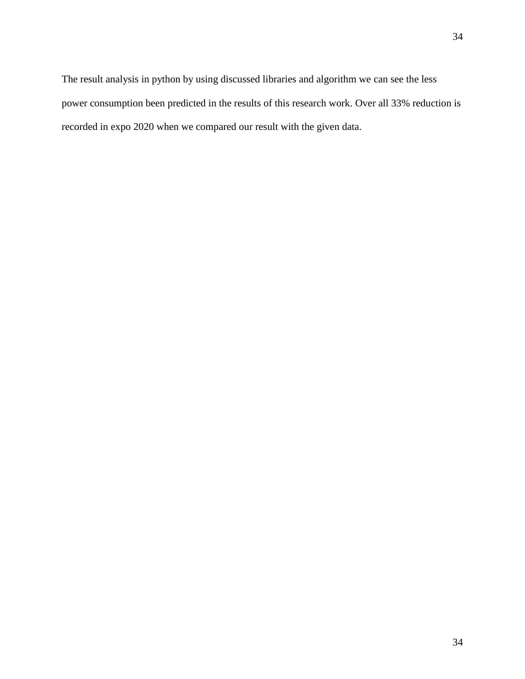The result analysis in python by using discussed libraries and algorithm we can see the less power consumption been predicted in the results of this research work. Over all 33% reduction is recorded in expo 2020 when we compared our result with the given data.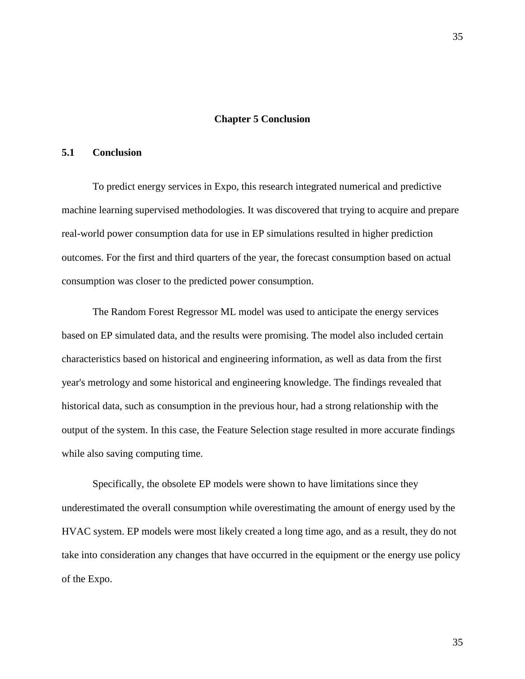#### **Chapter 5 Conclusion**

## <span id="page-42-1"></span><span id="page-42-0"></span>**5.1 Conclusion**

To predict energy services in Expo, this research integrated numerical and predictive machine learning supervised methodologies. It was discovered that trying to acquire and prepare real-world power consumption data for use in EP simulations resulted in higher prediction outcomes. For the first and third quarters of the year, the forecast consumption based on actual consumption was closer to the predicted power consumption.

The Random Forest Regressor ML model was used to anticipate the energy services based on EP simulated data, and the results were promising. The model also included certain characteristics based on historical and engineering information, as well as data from the first year's metrology and some historical and engineering knowledge. The findings revealed that historical data, such as consumption in the previous hour, had a strong relationship with the output of the system. In this case, the Feature Selection stage resulted in more accurate findings while also saving computing time.

Specifically, the obsolete EP models were shown to have limitations since they underestimated the overall consumption while overestimating the amount of energy used by the HVAC system. EP models were most likely created a long time ago, and as a result, they do not take into consideration any changes that have occurred in the equipment or the energy use policy of the Expo.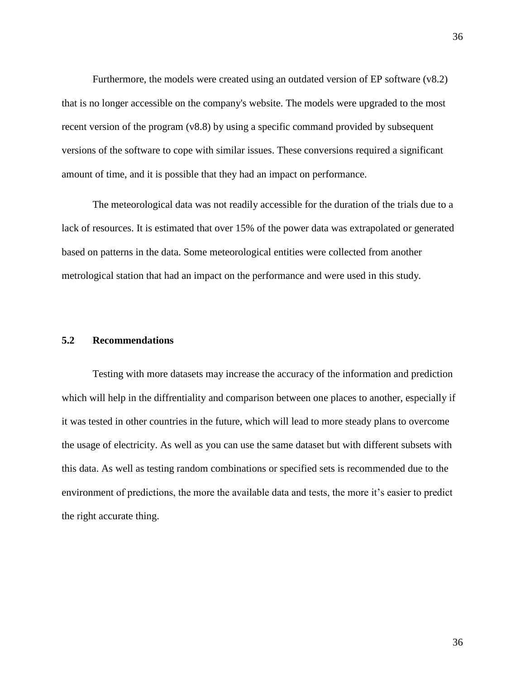Furthermore, the models were created using an outdated version of EP software (v8.2) that is no longer accessible on the company's website. The models were upgraded to the most recent version of the program (v8.8) by using a specific command provided by subsequent versions of the software to cope with similar issues. These conversions required a significant amount of time, and it is possible that they had an impact on performance.

The meteorological data was not readily accessible for the duration of the trials due to a lack of resources. It is estimated that over 15% of the power data was extrapolated or generated based on patterns in the data. Some meteorological entities were collected from another metrological station that had an impact on the performance and were used in this study.

## <span id="page-43-0"></span>**5.2 Recommendations**

Testing with more datasets may increase the accuracy of the information and prediction which will help in the diffrentiality and comparison between one places to another, especially if it was tested in other countries in the future, which will lead to more steady plans to overcome the usage of electricity. As well as you can use the same dataset but with different subsets with this data. As well as testing random combinations or specified sets is recommended due to the environment of predictions, the more the available data and tests, the more it's easier to predict the right accurate thing.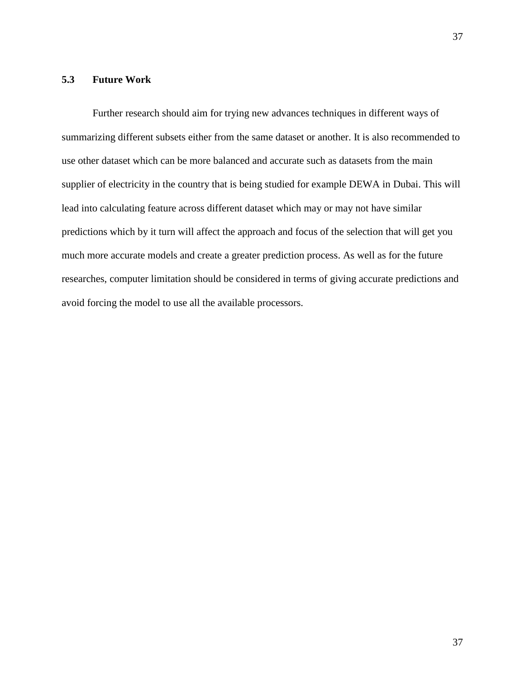## <span id="page-44-0"></span>**5.3 Future Work**

Further research should aim for trying new advances techniques in different ways of summarizing different subsets either from the same dataset or another. It is also recommended to use other dataset which can be more balanced and accurate such as datasets from the main supplier of electricity in the country that is being studied for example DEWA in Dubai. This will lead into calculating feature across different dataset which may or may not have similar predictions which by it turn will affect the approach and focus of the selection that will get you much more accurate models and create a greater prediction process. As well as for the future researches, computer limitation should be considered in terms of giving accurate predictions and avoid forcing the model to use all the available processors.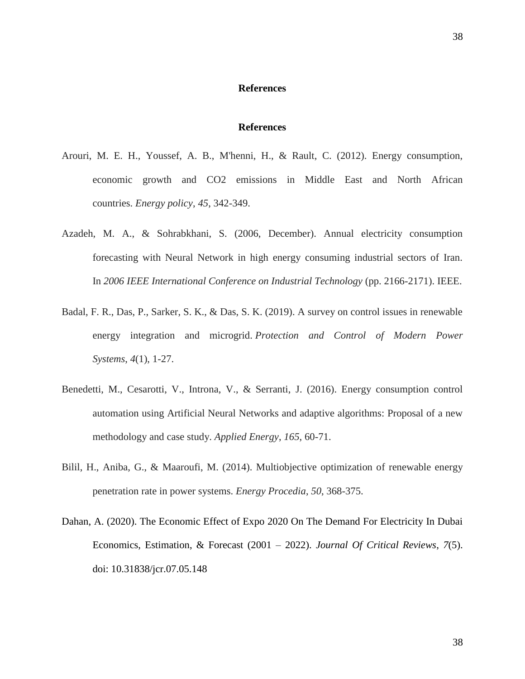#### **References**

#### **References**

- Arouri, M. E. H., Youssef, A. B., M'henni, H., & Rault, C. (2012). Energy consumption, economic growth and CO2 emissions in Middle East and North African countries. *Energy policy*, *45*, 342-349.
- Azadeh, M. A., & Sohrabkhani, S. (2006, December). Annual electricity consumption forecasting with Neural Network in high energy consuming industrial sectors of Iran. In *2006 IEEE International Conference on Industrial Technology* (pp. 2166-2171). IEEE.
- Badal, F. R., Das, P., Sarker, S. K., & Das, S. K. (2019). A survey on control issues in renewable energy integration and microgrid. *Protection and Control of Modern Power Systems*, *4*(1), 1-27.
- Benedetti, M., Cesarotti, V., Introna, V., & Serranti, J. (2016). Energy consumption control automation using Artificial Neural Networks and adaptive algorithms: Proposal of a new methodology and case study. *Applied Energy*, *165*, 60-71.
- Bilil, H., Aniba, G., & Maaroufi, M. (2014). Multiobjective optimization of renewable energy penetration rate in power systems. *Energy Procedia*, *50*, 368-375.
- Dahan, A. (2020). The Economic Effect of Expo 2020 On The Demand For Electricity In Dubai Economics, Estimation, & Forecast (2001 – 2022). *Journal Of Critical Reviews*, *7*(5). doi: 10.31838/jcr.07.05.148